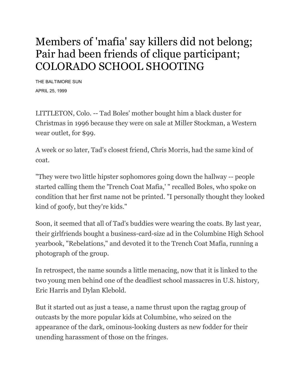## Members of 'mafia' say killers did not belong; Pair had been friends of clique participant; COLORADO SCHOOL SHOOTING

THE BALTIMORE SUN APRIL 25, 1999

LITTLETON, Colo. -- Tad Boles' mother bought him a black duster for Christmas in 1996 because they were on sale at Miller Stockman, a Western wear outlet, for \$99.

A week or so later, Tad's closest friend, Chris Morris, had the same kind of coat.

"They were two little hipster sophomores going down the hallway -- people started calling them the 'Trench Coat Mafia,' " recalled Boles, who spoke on condition that her first name not be printed. "I personally thought they looked kind of goofy, but they're kids."

Soon, it seemed that all of Tad's buddies were wearing the coats. By last year, their girlfriends bought a business-card-size ad in the Columbine High School yearbook, "Rebelations," and devoted it to the Trench Coat Mafia, running a photograph of the group.

In retrospect, the name sounds a little menacing, now that it is linked to the two young men behind one of the deadliest school massacres in U.S. history, Eric Harris and Dylan Klebold.

But it started out as just a tease, a name thrust upon the ragtag group of outcasts by the more popular kids at Columbine, who seized on the appearance of the dark, ominous-looking dusters as new fodder for their unending harassment of those on the fringes.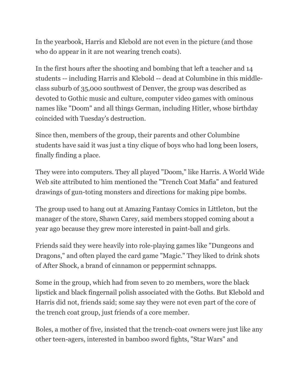In the yearbook, Harris and Klebold are not even in the picture (and those who do appear in it are not wearing trench coats).

In the first hours after the shooting and bombing that left a teacher and 14 students -- including Harris and Klebold -- dead at Columbine in this middleclass suburb of 35,000 southwest of Denver, the group was described as devoted to Gothic music and culture, computer video games with ominous names like "Doom" and all things German, including Hitler, whose birthday coincided with Tuesday's destruction.

Since then, members of the group, their parents and other Columbine students have said it was just a tiny clique of boys who had long been losers, finally finding a place.

They were into computers. They all played "Doom," like Harris. A World Wide Web site attributed to him mentioned the "Trench Coat Mafia" and featured drawings of gun-toting monsters and directions for making pipe bombs.

The group used to hang out at Amazing Fantasy Comics in Littleton, but the manager of the store, Shawn Carey, said members stopped coming about a year ago because they grew more interested in paint-ball and girls.

Friends said they were heavily into role-playing games like "Dungeons and Dragons," and often played the card game "Magic." They liked to drink shots of After Shock, a brand of cinnamon or peppermint schnapps.

Some in the group, which had from seven to 20 members, wore the black lipstick and black fingernail polish associated with the Goths. But Klebold and Harris did not, friends said; some say they were not even part of the core of the trench coat group, just friends of a core member.

Boles, a mother of five, insisted that the trench-coat owners were just like any other teen-agers, interested in bamboo sword fights, "Star Wars" and